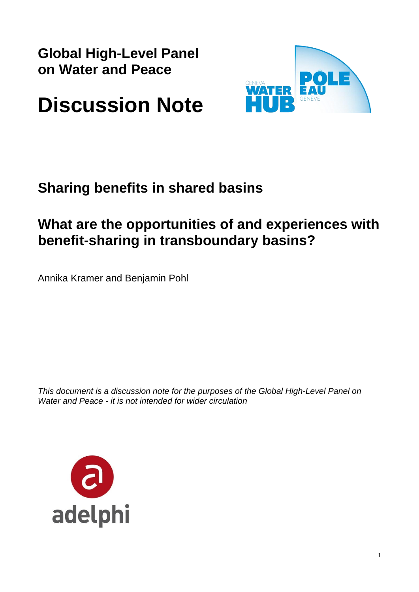**Global High-Level Panel on Water and Peace** 



# **Discussion Note**

# **Sharing benefits in shared basins**

# **What are the opportunities of and experiences with benefit-sharing in transboundary basins?**

Annika Kramer and Benjamin Pohl

*This document is a discussion note for the purposes of the Global High-Level Panel on Water and Peace - it is not intended for wider circulation*

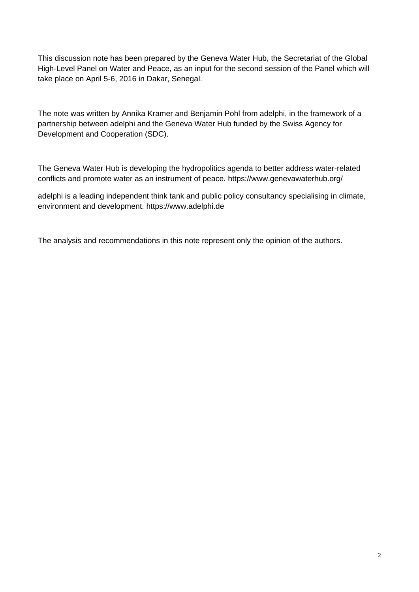This discussion note has been prepared by the Geneva Water Hub, the Secretariat of the Global High-Level Panel on Water and Peace, as an input for the second session of the Panel which will take place on April 5-6, 2016 in Dakar, Senegal.

The note was written by Annika Kramer and Benjamin Pohl from adelphi, in the framework of a partnership between adelphi and the Geneva Water Hub funded by the Swiss Agency for Development and Cooperation (SDC).

The Geneva Water Hub is developing the hydropolitics agenda to better address water-related conflicts and promote water as an instrument of peace. https://www.genevawaterhub.org/

adelphi is a leading independent think tank and public policy consultancy specialising in climate, environment and development. https://www.adelphi.de

The analysis and recommendations in this note represent only the opinion of the authors.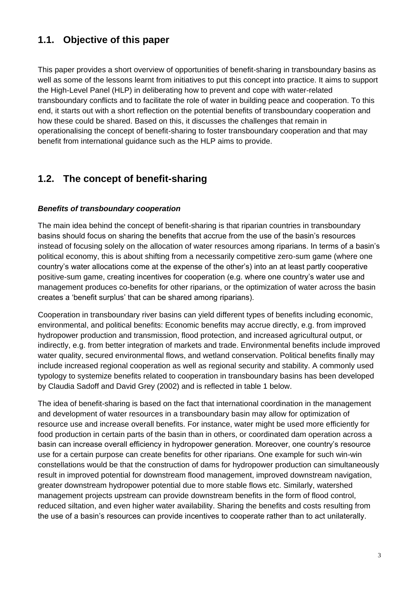# **1.1. Objective of this paper**

This paper provides a short overview of opportunities of benefit-sharing in transboundary basins as well as some of the lessons learnt from initiatives to put this concept into practice. It aims to support the High-Level Panel (HLP) in deliberating how to prevent and cope with water-related transboundary conflicts and to facilitate the role of water in building peace and cooperation. To this end, it starts out with a short reflection on the potential benefits of transboundary cooperation and how these could be shared. Based on this, it discusses the challenges that remain in operationalising the concept of benefit-sharing to foster transboundary cooperation and that may benefit from international guidance such as the HLP aims to provide.

## **1.2. The concept of benefit-sharing**

#### *Benefits of transboundary cooperation*

The main idea behind the concept of benefit-sharing is that riparian countries in transboundary basins should focus on sharing the benefits that accrue from the use of the basin's resources instead of focusing solely on the allocation of water resources among riparians. In terms of a basin's political economy, this is about shifting from a necessarily competitive zero-sum game (where one country's water allocations come at the expense of the other's) into an at least partly cooperative positive-sum game, creating incentives for cooperation (e.g. where one country's water use and management produces co-benefits for other riparians, or the optimization of water across the basin creates a 'benefit surplus' that can be shared among riparians).

Cooperation in transboundary river basins can yield different types of benefits including economic, environmental, and political benefits: Economic benefits may accrue directly, e.g. from improved hydropower production and transmission, flood protection, and increased agricultural output, or indirectly, e.g. from better integration of markets and trade. Environmental benefits include improved water quality, secured environmental flows, and wetland conservation. Political benefits finally may include increased regional cooperation as well as regional security and stability. A commonly used typology to systemize benefits related to cooperation in transboundary basins has been developed by Claudia Sadoff and David Grey (2002) and is reflected in table 1 below.

The idea of benefit-sharing is based on the fact that international coordination in the management and development of water resources in a transboundary basin may allow for optimization of resource use and increase overall benefits. For instance, water might be used more efficiently for food production in certain parts of the basin than in others, or coordinated dam operation across a basin can increase overall efficiency in hydropower generation. Moreover, one country's resource use for a certain purpose can create benefits for other riparians. One example for such win-win constellations would be that the construction of dams for hydropower production can simultaneously result in improved potential for downstream flood management, improved downstream navigation, greater downstream hydropower potential due to more stable flows etc. Similarly, watershed management projects upstream can provide downstream benefits in the form of flood control, reduced siltation, and even higher water availability. Sharing the benefits and costs resulting from the use of a basin's resources can provide incentives to cooperate rather than to act unilaterally.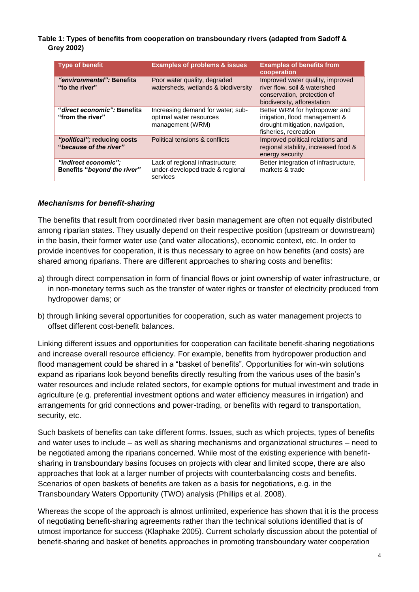**Table 1: Types of benefits from cooperation on transboundary rivers (adapted from Sadoff & Grey 2002)**

| <b>Type of benefit</b>                                | <b>Examples of problems &amp; issues</b>                                         | <b>Examples of benefits from</b><br>cooperation                                                                                |
|-------------------------------------------------------|----------------------------------------------------------------------------------|--------------------------------------------------------------------------------------------------------------------------------|
| "environmental": Benefits<br>"to the river"           | Poor water quality, degraded<br>watersheds, wetlands & biodiversity              | Improved water quality, improved<br>river flow, soil & watershed<br>conservation, protection of<br>biodiversity, afforestation |
| "direct economic": Benefits<br>"from the river"       | Increasing demand for water; sub-<br>optimal water resources<br>management (WRM) | Better WRM for hydropower and<br>irrigation, flood management &<br>drought mitigation, navigation,<br>fisheries, recreation    |
| "political"; reducing costs<br>"because of the river" | Political tensions & conflicts                                                   | Improved political relations and<br>regional stability, increased food &<br>energy security                                    |
| "indirect economic":<br>Benefits "beyond the river"   | Lack of regional infrastructure;<br>under-developed trade & regional<br>services | Better integration of infrastructure,<br>markets & trade                                                                       |

#### *Mechanisms for benefit-sharing*

The benefits that result from coordinated river basin management are often not equally distributed among riparian states. They usually depend on their respective position (upstream or downstream) in the basin, their former water use (and water allocations), economic context, etc. In order to provide incentives for cooperation, it is thus necessary to agree on how benefits (and costs) are shared among riparians. There are different approaches to sharing costs and benefits:

- a) through direct compensation in form of financial flows or joint ownership of water infrastructure, or in non-monetary terms such as the transfer of water rights or transfer of electricity produced from hydropower dams; or
- b) through linking several opportunities for cooperation, such as water management projects to offset different cost-benefit balances.

Linking different issues and opportunities for cooperation can facilitate benefit-sharing negotiations and increase overall resource efficiency. For example, benefits from hydropower production and flood management could be shared in a "basket of benefits". Opportunities for win-win solutions expand as riparians look beyond benefits directly resulting from the various uses of the basin's water resources and include related sectors, for example options for mutual investment and trade in agriculture (e.g. preferential investment options and water efficiency measures in irrigation) and arrangements for grid connections and power-trading, or benefits with regard to transportation, security, etc.

Such baskets of benefits can take different forms. Issues, such as which projects, types of benefits and water uses to include – as well as sharing mechanisms and organizational structures – need to be negotiated among the riparians concerned. While most of the existing experience with benefitsharing in transboundary basins focuses on projects with clear and limited scope, there are also approaches that look at a larger number of projects with counterbalancing costs and benefits. Scenarios of open baskets of benefits are taken as a basis for negotiations, e.g. in the Transboundary Waters Opportunity (TWO) analysis (Phillips et al. 2008).

Whereas the scope of the approach is almost unlimited, experience has shown that it is the process of negotiating benefit-sharing agreements rather than the technical solutions identified that is of utmost importance for success (Klaphake 2005). Current scholarly discussion about the potential of benefit-sharing and basket of benefits approaches in promoting transboundary water cooperation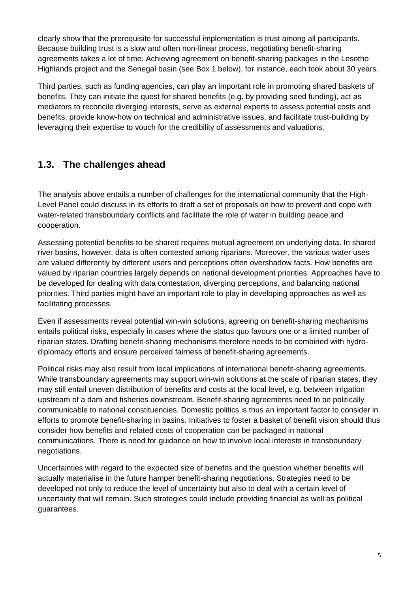clearly show that the prerequisite for successful implementation is trust among all participants. Because building trust is a slow and often non-linear process, negotiating benefit-sharing agreements takes a lot of time. Achieving agreement on benefit-sharing packages in the Lesotho Highlands project and the Senegal basin (see Box 1 below), for instance, each took about 30 years.

Third parties, such as funding agencies, can play an important role in promoting shared baskets of benefits. They can initiate the quest for shared benefits (e.g. by providing seed funding), act as mediators to reconcile diverging interests, serve as external experts to assess potential costs and benefits, provide know-how on technical and administrative issues, and facilitate trust-building by leveraging their expertise to vouch for the credibility of assessments and valuations.

### **1.3. The challenges ahead**

The analysis above entails a number of challenges for the international community that the High-Level Panel could discuss in its efforts to draft a set of proposals on how to prevent and cope with water-related transboundary conflicts and facilitate the role of water in building peace and cooperation.

Assessing potential benefits to be shared requires mutual agreement on underlying data. In shared river basins, however, data is often contested among riparians. Moreover, the various water uses are valued differently by different users and perceptions often overshadow facts. How benefits are valued by riparian countries largely depends on national development priorities. Approaches have to be developed for dealing with data contestation, diverging perceptions, and balancing national priorities. Third parties might have an important role to play in developing approaches as well as facilitating processes.

Even if assessments reveal potential win-win solutions, agreeing on benefit-sharing mechanisms entails political risks, especially in cases where the status quo favours one or a limited number of riparian states. Drafting benefit-sharing mechanisms therefore needs to be combined with hydrodiplomacy efforts and ensure perceived fairness of benefit-sharing agreements.

Political risks may also result from local implications of international benefit-sharing agreements. While transboundary agreements may support win-win solutions at the scale of riparian states, they may still entail uneven distribution of benefits and costs at the local level, e.g. between irrigation upstream of a dam and fisheries downstream. Benefit-sharing agreements need to be politically communicable to national constituencies. Domestic politics is thus an important factor to consider in efforts to promote benefit-sharing in basins. Initiatives to foster a basket of benefit vision should thus consider how benefits and related costs of cooperation can be packaged in national communications. There is need for guidance on how to involve local interests in transboundary negotiations.

Uncertainties with regard to the expected size of benefits and the question whether benefits will actually materialise in the future hamper benefit-sharing negotiations. Strategies need to be developed not only to reduce the level of uncertainty but also to deal with a certain level of uncertainty that will remain. Such strategies could include providing financial as well as political guarantees.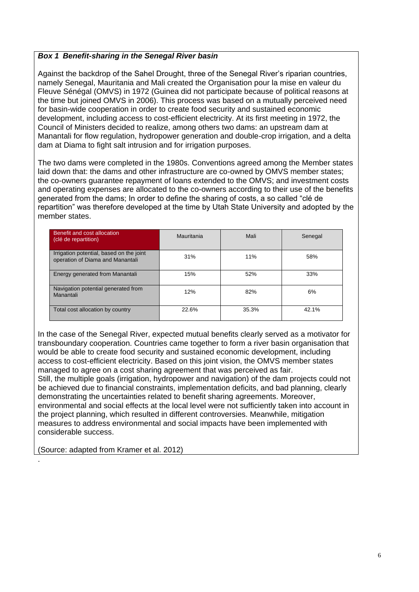#### *Box 1 Benefit-sharing in the Senegal River basin*

Against the backdrop of the Sahel Drought, three of the Senegal River's riparian countries, namely Senegal, Mauritania and Mali created the Organisation pour la mise en valeur du Fleuve Sénégal (OMVS) in 1972 (Guinea did not participate because of political reasons at the time but joined OMVS in 2006). This process was based on a mutually perceived need for basin-wide cooperation in order to create food security and sustained economic development, including access to cost-efficient electricity. At its first meeting in 1972, the Council of Ministers decided to realize, among others two dams: an upstream dam at Manantali for flow regulation, hydropower generation and double-crop irrigation, and a delta dam at Diama to fight salt intrusion and for irrigation purposes.

The two dams were completed in the 1980s. Conventions agreed among the Member states laid down that: the dams and other infrastructure are co-owned by OMVS member states; the co-owners guarantee repayment of loans extended to the OMVS; and investment costs and operating expenses are allocated to the co-owners according to their use of the benefits generated from the dams; In order to define the sharing of costs, a so called "clé de repartition" was therefore developed at the time by Utah State University and adopted by the member states.

| Benefit and cost allocation<br>(clé de repartition)                          | Mauritania | Mali  | Senegal |
|------------------------------------------------------------------------------|------------|-------|---------|
| Irrigation potential, based on the joint<br>operation of Diama and Manantali | 31%        | 11%   | 58%     |
| Energy generated from Manantali                                              | 15%        | 52%   | 33%     |
| Navigation potential generated from<br>Manantali                             | 12%        | 82%   | 6%      |
| Total cost allocation by country                                             | 22.6%      | 35.3% | 42.1%   |

In the case of the Senegal River, expected mutual benefits clearly served as a motivator for transboundary cooperation. Countries came together to form a river basin organisation that would be able to create food security and sustained economic development, including access to cost-efficient electricity. Based on this joint vision, the OMVS member states managed to agree on a cost sharing agreement that was perceived as fair. Still, the multiple goals (irrigation, hydropower and navigation) of the dam projects could not be achieved due to financial constraints, implementation deficits, and bad planning, clearly demonstrating the uncertainties related to benefit sharing agreements. Moreover, environmental and social effects at the local level were not sufficiently taken into account in the project planning, which resulted in different controversies. Meanwhile, mitigation measures to address environmental and social impacts have been implemented with considerable success.

(Source: adapted from Kramer et al. 2012)

.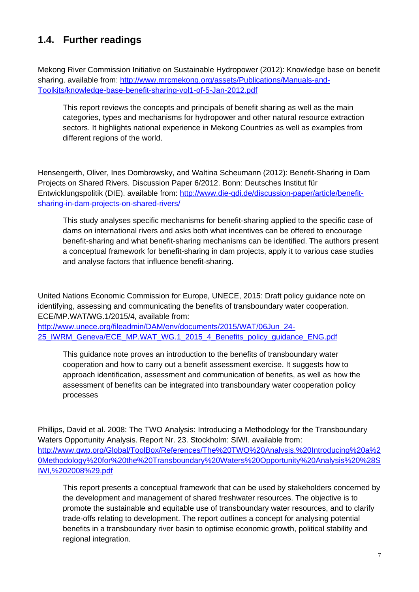## **1.4. Further readings**

Mekong River Commission Initiative on Sustainable Hydropower (2012): Knowledge base on benefit sharing. available from: [http://www.mrcmekong.org/assets/Publications/Manuals-and-](http://www.mrcmekong.org/assets/Publications/Manuals-and-Toolkits/knowledge-base-benefit-sharing-vol1-of-5-Jan-2012.pdf)[Toolkits/knowledge-base-benefit-sharing-vol1-of-5-Jan-2012.pdf](http://www.mrcmekong.org/assets/Publications/Manuals-and-Toolkits/knowledge-base-benefit-sharing-vol1-of-5-Jan-2012.pdf)

This report reviews the concepts and principals of benefit sharing as well as the main categories, types and mechanisms for hydropower and other natural resource extraction sectors. It highlights national experience in Mekong Countries as well as examples from different regions of the world.

Hensengerth, Oliver, Ines Dombrowsky, and Waltina Scheumann (2012): Benefit-Sharing in Dam Projects on Shared Rivers. Discussion Paper 6/2012. Bonn: Deutsches Institut für Entwicklungspolitik (DIE). available from: [http://www.die-gdi.de/discussion-paper/article/benefit](http://www.die-gdi.de/discussion-paper/article/benefit-sharing-in-dam-projects-on-shared-rivers/)[sharing-in-dam-projects-on-shared-rivers/](http://www.die-gdi.de/discussion-paper/article/benefit-sharing-in-dam-projects-on-shared-rivers/)

This study analyses specific mechanisms for benefit-sharing applied to the specific case of dams on international rivers and asks both what incentives can be offered to encourage benefit-sharing and what benefit-sharing mechanisms can be identified. The authors present a conceptual framework for benefit-sharing in dam projects, apply it to various case studies and analyse factors that influence benefit-sharing.

United Nations Economic Commission for Europe, UNECE, 2015: Draft policy guidance note on identifying, assessing and communicating the benefits of transboundary water cooperation. ECE/MP.WAT/WG.1/2015/4, available from:

[http://www.unece.org/fileadmin/DAM/env/documents/2015/WAT/06Jun\\_24-](http://www.unece.org/fileadmin/DAM/env/documents/2015/WAT/06Jun_24-25_IWRM_Geneva/ECE_MP.WAT_WG.1_2015_4_Benefits_policy_guidance_ENG.pdf) [25\\_IWRM\\_Geneva/ECE\\_MP.WAT\\_WG.1\\_2015\\_4\\_Benefits\\_policy\\_guidance\\_ENG.pdf](http://www.unece.org/fileadmin/DAM/env/documents/2015/WAT/06Jun_24-25_IWRM_Geneva/ECE_MP.WAT_WG.1_2015_4_Benefits_policy_guidance_ENG.pdf)

This guidance note proves an introduction to the benefits of transboundary water cooperation and how to carry out a benefit assessment exercise. It suggests how to approach identification, assessment and communication of benefits, as well as how the assessment of benefits can be integrated into transboundary water cooperation policy processes

Phillips, David et al. 2008: The TWO Analysis: Introducing a Methodology for the Transboundary Waters Opportunity Analysis. Report Nr. 23. Stockholm: SIWI. available from: [http://www.gwp.org/Global/ToolBox/References/The%20TWO%20Analysis.%20Introducing%20a%2](http://www.gwp.org/Global/ToolBox/References/The%20TWO%20Analysis.%20Introducing%20a%20Methodology%20for%20the%20Transboundary%20Waters%20Opportunity%20Analysis%20%28SIWI,%202008%29.pdf) [0Methodology%20for%20the%20Transboundary%20Waters%20Opportunity%20Analysis%20%28S](http://www.gwp.org/Global/ToolBox/References/The%20TWO%20Analysis.%20Introducing%20a%20Methodology%20for%20the%20Transboundary%20Waters%20Opportunity%20Analysis%20%28SIWI,%202008%29.pdf) [IWI,%202008%29.pdf](http://www.gwp.org/Global/ToolBox/References/The%20TWO%20Analysis.%20Introducing%20a%20Methodology%20for%20the%20Transboundary%20Waters%20Opportunity%20Analysis%20%28SIWI,%202008%29.pdf)

This report presents a conceptual framework that can be used by stakeholders concerned by the development and management of shared freshwater resources. The objective is to promote the sustainable and equitable use of transboundary water resources, and to clarify trade-offs relating to development. The report outlines a concept for analysing potential benefits in a transboundary river basin to optimise economic growth, political stability and regional integration.